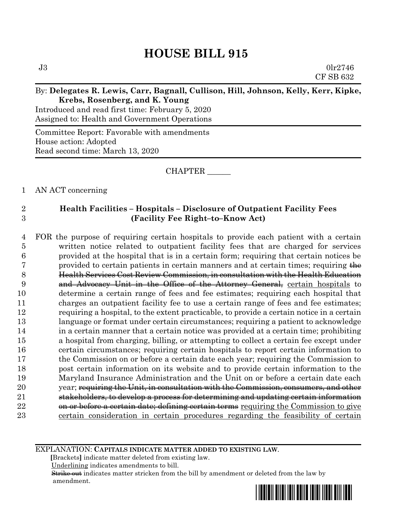# **HOUSE BILL 915**

#### By: **Delegates R. Lewis, Carr, Bagnall, Cullison, Hill, Johnson, Kelly, Kerr, Kipke, Krebs, Rosenberg, and K. Young**

Introduced and read first time: February 5, 2020 Assigned to: Health and Government Operations

Committee Report: Favorable with amendments House action: Adopted Read second time: March 13, 2020

CHAPTER \_\_\_\_\_\_

1 AN ACT concerning

### 2 **Health Facilities – Hospitals – Disclosure of Outpatient Facility Fees** 3 **(Facility Fee Right–to–Know Act)**

 FOR the purpose of requiring certain hospitals to provide each patient with a certain written notice related to outpatient facility fees that are charged for services provided at the hospital that is in a certain form; requiring that certain notices be 7 provided to certain patients in certain manners and at certain times; requiring  $\frac{1}{\sqrt{1-\frac{1}{n}}}\left| \frac{1}{n} \right|$  Health Services Cost Review Commission, in consultation with the Health Education 9 and Advocacy Unit in the Office of the Attorney General, certain hospitals to determine a certain range of fees and fee estimates; requiring each hospital that charges an outpatient facility fee to use a certain range of fees and fee estimates; requiring a hospital, to the extent practicable, to provide a certain notice in a certain language or format under certain circumstances; requiring a patient to acknowledge in a certain manner that a certain notice was provided at a certain time; prohibiting a hospital from charging, billing, or attempting to collect a certain fee except under certain circumstances; requiring certain hospitals to report certain information to the Commission on or before a certain date each year; requiring the Commission to post certain information on its website and to provide certain information to the Maryland Insurance Administration and the Unit on or before a certain date each 20 year; requiring the Unit, in consultation with the Commission, consumers, and other 21 stakeholders, to develop a process for determining and updating certain information 22 on or before a certain date; defining certain terms requiring the Commission to give certain consideration in certain procedures regarding the feasibility of certain

EXPLANATION: **CAPITALS INDICATE MATTER ADDED TO EXISTING LAW**.

 **[**Brackets**]** indicate matter deleted from existing law.

Underlining indicates amendments to bill.

 Strike out indicates matter stricken from the bill by amendment or deleted from the law by amendment.

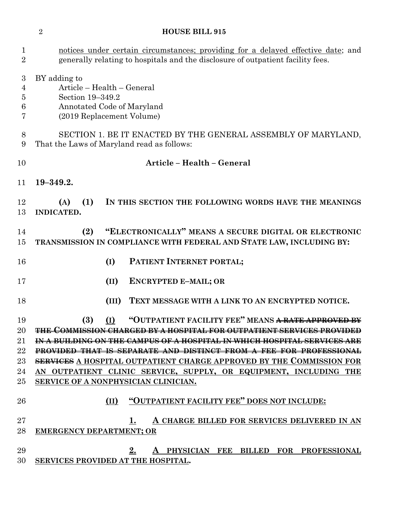### **HOUSE BILL 915**

| $\mathbf{1}$<br>$\overline{2}$                  | notices under certain circumstances; providing for a delayed effective date; and<br>generally relating to hospitals and the disclosure of outpatient facility fees. |
|-------------------------------------------------|---------------------------------------------------------------------------------------------------------------------------------------------------------------------|
| 3<br>$\overline{4}$<br>$\overline{5}$<br>6<br>7 | BY adding to<br>Article - Health - General<br>Section 19-349.2<br>Annotated Code of Maryland<br>(2019 Replacement Volume)                                           |
| 8<br>9                                          | SECTION 1. BE IT ENACTED BY THE GENERAL ASSEMBLY OF MARYLAND,<br>That the Laws of Maryland read as follows:                                                         |
| 10                                              | Article - Health - General                                                                                                                                          |
| 11                                              | $19 - 349.2.$                                                                                                                                                       |
| 12<br>13                                        | (1)<br>IN THIS SECTION THE FOLLOWING WORDS HAVE THE MEANINGS<br>(A)<br>INDICATED.                                                                                   |
| 14<br>15                                        | "ELECTRONICALLY" MEANS A SECURE DIGITAL OR ELECTRONIC<br>(2)<br>TRANSMISSION IN COMPLIANCE WITH FEDERAL AND STATE LAW, INCLUDING BY:                                |
| 16                                              | PATIENT INTERNET PORTAL;<br>(I)                                                                                                                                     |
| 17                                              | (II)<br><b>ENCRYPTED E-MAIL; OR</b>                                                                                                                                 |
| 18                                              | (III)<br>TEXT MESSAGE WITH A LINK TO AN ENCRYPTED NOTICE.                                                                                                           |
| 19<br>20                                        | "OUTPATIENT FACILITY FEE" MEANS <del>A RATE APPROVED BY</del><br>(3)<br>(I)<br><u>Commission charged by a hospital for outpatient services providee</u>             |
| $21\,$                                          | <u>I:N-A-IBUILEDI:N(;-O)N-IIIII:-(-AWIPUS OIFA-IIOSPITI/AL-IN-WIIIICIL-II(-)SPITI/AL-SEIKVICES-AI(E</u>                                                             |
| 22                                              | <b>PROVIDED THAT IS SEPARATE AND DISTINCT FROM A FEE FOR PROFESSIONAL</b>                                                                                           |
| 23                                              | <b>SERVICES</b> A HOSPITAL OUTPATIENT CHARGE APPROVED BY THE COMMISSION FOR                                                                                         |
| 24                                              | AN OUTPATIENT CLINIC SERVICE, SUPPLY, OR EQUIPMENT, INCLUDING THE                                                                                                   |
| 25                                              | SERVICE OF A NONPHYSICIAN CLINICIAN.                                                                                                                                |
| 26                                              | "OUTPATIENT FACILITY FEE" DOES NOT INCLUDE:<br>(II)                                                                                                                 |
| $27\,$                                          | A CHARGE BILLED FOR SERVICES DELIVERED IN AN<br>1.                                                                                                                  |
| 28                                              | <b>EMERGENCY DEPARTMENT; OR</b>                                                                                                                                     |
| 29                                              | 2.<br>PHYSICIAN FEE BILLED FOR PROFESSIONAL                                                                                                                         |
| ററ                                              |                                                                                                                                                                     |

**SERVICES PROVIDED AT THE HOSPITAL.**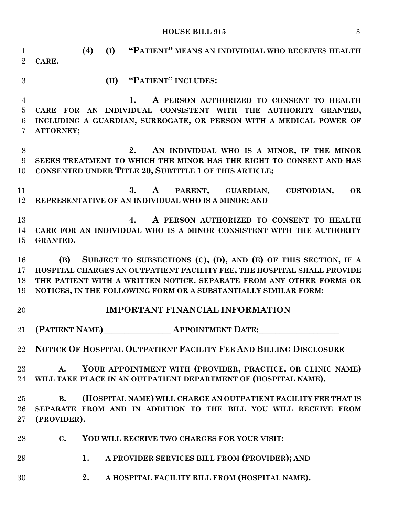### **HOUSE BILL 915** 3

| $\mathbf{1}$<br>$\overline{2}$                          | "PATIENT" MEANS AN INDIVIDUAL WHO RECEIVES HEALTH<br>(4)<br>(I)<br>CARE.                                                                                                                                                                                                                |
|---------------------------------------------------------|-----------------------------------------------------------------------------------------------------------------------------------------------------------------------------------------------------------------------------------------------------------------------------------------|
| 3                                                       | (II) "PATIENT" INCLUDES:                                                                                                                                                                                                                                                                |
| $\overline{4}$<br>$\overline{5}$<br>6<br>$\overline{7}$ | A PERSON AUTHORIZED TO CONSENT TO HEALTH<br>1.<br>CARE FOR AN INDIVIDUAL CONSISTENT WITH THE AUTHORITY GRANTED,<br>INCLUDING A GUARDIAN, SURROGATE, OR PERSON WITH A MEDICAL POWER OF<br>ATTORNEY;                                                                                      |
| 8<br>9<br>10                                            | AN INDIVIDUAL WHO IS A MINOR, IF THE MINOR<br>2.<br>SEEKS TREATMENT TO WHICH THE MINOR HAS THE RIGHT TO CONSENT AND HAS<br>CONSENTED UNDER TITLE 20, SUBTITLE 1 OF THIS ARTICLE;                                                                                                        |
| 11<br>12                                                | PARENT, GUARDIAN,<br><b>CUSTODIAN,</b><br><b>OR</b><br>3.<br>$\mathbf{A}$<br>REPRESENTATIVE OF AN INDIVIDUAL WHO IS A MINOR; AND                                                                                                                                                        |
| 13<br>14<br>15                                          | A PERSON AUTHORIZED TO CONSENT TO HEALTH<br>4.<br>CARE FOR AN INDIVIDUAL WHO IS A MINOR CONSISTENT WITH THE AUTHORITY<br><b>GRANTED.</b>                                                                                                                                                |
| 16<br>17<br>18<br>19                                    | (B) SUBJECT TO SUBSECTIONS (C), (D), AND (E) OF THIS SECTION, IF A<br>HOSPITAL CHARGES AN OUTPATIENT FACILITY FEE, THE HOSPITAL SHALL PROVIDE<br>THE PATIENT WITH A WRITTEN NOTICE, SEPARATE FROM ANY OTHER FORMS OR<br>NOTICES, IN THE FOLLOWING FORM OR A SUBSTANTIALLY SIMILAR FORM: |
| 20                                                      | <b>IMPORTANT FINANCIAL INFORMATION</b>                                                                                                                                                                                                                                                  |
| $21\,$                                                  | (PATIENT NAME) APPOINTMENT DATE:                                                                                                                                                                                                                                                        |
| $22\,$                                                  | NOTICE OF HOSPITAL OUTPATIENT FACILITY FEE AND BILLING DISCLOSURE                                                                                                                                                                                                                       |
| $23\,$<br>24                                            | YOUR APPOINTMENT WITH (PROVIDER, PRACTICE, OR CLINIC NAME)<br>$A_{\bullet}$<br>WILL TAKE PLACE IN AN OUTPATIENT DEPARTMENT OF (HOSPITAL NAME).                                                                                                                                          |
| 25<br>26<br>27                                          | (HOSPITAL NAME) WILL CHARGE AN OUTPATIENT FACILITY FEE THAT IS<br><b>B.</b><br>SEPARATE FROM AND IN ADDITION TO THE BILL YOU WILL RECEIVE FROM<br>(PROVIDER).                                                                                                                           |
| 28                                                      | YOU WILL RECEIVE TWO CHARGES FOR YOUR VISIT:<br>$\mathbf{C}$ .                                                                                                                                                                                                                          |
| 29                                                      | 1.<br>A PROVIDER SERVICES BILL FROM (PROVIDER); AND                                                                                                                                                                                                                                     |
| 30                                                      | A HOSPITAL FACILITY BILL FROM (HOSPITAL NAME).<br>2.                                                                                                                                                                                                                                    |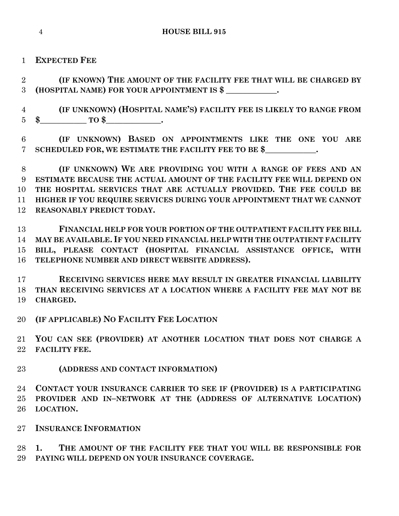**EXPECTED FEE**

 **(IF KNOWN) THE AMOUNT OF THE FACILITY FEE THAT WILL BE CHARGED BY (HOSPITAL NAME) FOR YOUR APPOINTMENT IS \$ \_\_\_\_\_\_\_\_\_\_\_\_.**

 **(IF UNKNOWN) (HOSPITAL NAME'S) FACILITY FEE IS LIKELY TO RANGE FROM \$\_\_\_\_\_\_\_\_\_\_\_ TO \$\_\_\_\_\_\_\_\_\_\_\_\_\_.**

 **(IF UNKNOWN) BASED ON APPOINTMENTS LIKE THE ONE YOU ARE SCHEDULED FOR, WE ESTIMATE THE FACILITY FEE TO BE \$\_\_\_\_\_\_\_\_\_\_\_\_.**

 **(IF UNKNOWN) WE ARE PROVIDING YOU WITH A RANGE OF FEES AND AN ESTIMATE BECAUSE THE ACTUAL AMOUNT OF THE FACILITY FEE WILL DEPEND ON THE HOSPITAL SERVICES THAT ARE ACTUALLY PROVIDED. THE FEE COULD BE HIGHER IF YOU REQUIRE SERVICES DURING YOUR APPOINTMENT THAT WE CANNOT REASONABLY PREDICT TODAY.**

 **FINANCIAL HELP FOR YOUR PORTION OF THE OUTPATIENT FACILITY FEE BILL MAY BE AVAILABLE. IF YOU NEED FINANCIAL HELP WITH THE OUTPATIENT FACILITY BILL, PLEASE CONTACT (HOSPITAL FINANCIAL ASSISTANCE OFFICE, WITH TELEPHONE NUMBER AND DIRECT WEBSITE ADDRESS).**

 **RECEIVING SERVICES HERE MAY RESULT IN GREATER FINANCIAL LIABILITY THAN RECEIVING SERVICES AT A LOCATION WHERE A FACILITY FEE MAY NOT BE CHARGED.**

**(IF APPLICABLE) NO FACILITY FEE LOCATION**

 **YOU CAN SEE (PROVIDER) AT ANOTHER LOCATION THAT DOES NOT CHARGE A FACILITY FEE.**

**(ADDRESS AND CONTACT INFORMATION)**

 **CONTACT YOUR INSURANCE CARRIER TO SEE IF (PROVIDER) IS A PARTICIPATING PROVIDER AND IN–NETWORK AT THE (ADDRESS OF ALTERNATIVE LOCATION) LOCATION.**

**INSURANCE INFORMATION**

 **1. THE AMOUNT OF THE FACILITY FEE THAT YOU WILL BE RESPONSIBLE FOR PAYING WILL DEPEND ON YOUR INSURANCE COVERAGE.**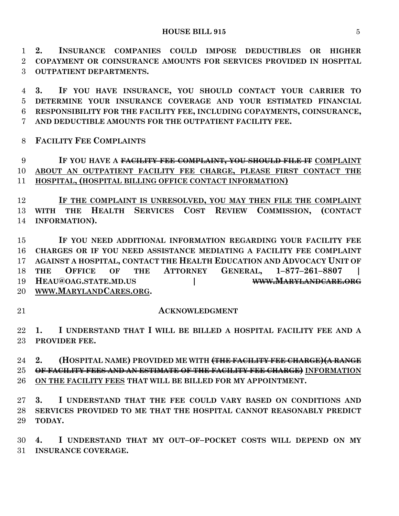**2. INSURANCE COMPANIES COULD IMPOSE DEDUCTIBLES OR HIGHER COPAYMENT OR COINSURANCE AMOUNTS FOR SERVICES PROVIDED IN HOSPITAL OUTPATIENT DEPARTMENTS.**

 **3. IF YOU HAVE INSURANCE, YOU SHOULD CONTACT YOUR CARRIER TO DETERMINE YOUR INSURANCE COVERAGE AND YOUR ESTIMATED FINANCIAL RESPONSIBILITY FOR THE FACILITY FEE, INCLUDING COPAYMENTS, COINSURANCE, AND DEDUCTIBLE AMOUNTS FOR THE OUTPATIENT FACILITY FEE.**

**FACILITY FEE COMPLAINTS**

 **IF YOU HAVE A FACILITY FEE COMPLAINT, YOU SHOULD FILE IT COMPLAINT ABOUT AN OUTPATIENT FACILITY FEE CHARGE, PLEASE FIRST CONTACT THE HOSPITAL, (HOSPITAL BILLING OFFICE CONTACT INFORMATION)**

 **IF THE COMPLAINT IS UNRESOLVED, YOU MAY THEN FILE THE COMPLAINT WITH THE HEALTH SERVICES COST REVIEW COMMISSION, (CONTACT INFORMATION).**

 **IF YOU NEED ADDITIONAL INFORMATION REGARDING YOUR FACILITY FEE CHARGES OR IF YOU NEED ASSISTANCE MEDIATING A FACILITY FEE COMPLAINT AGAINST A HOSPITAL, CONTACT THE HEALTH EDUCATION AND ADVOCACY UNIT OF THE OFFICE OF THE ATTORNEY GENERAL, 1–877–261–8807 | HEAU@OAG.STATE.MD.US | WWW.MARYLANDCARE.ORG WWW.MARYLANDCARES.ORG.**

#### **ACKNOWLEDGMENT**

 **1. I UNDERSTAND THAT I WILL BE BILLED A HOSPITAL FACILITY FEE AND A PROVIDER FEE.**

 **2. (HOSPITAL NAME) PROVIDED ME WITH (THE FACILITY FEE CHARGE)(A RANGE OF FACILITY FEES AND AN ESTIMATE OF THE FACILITY FEE CHARGE) INFORMATION ON THE FACILITY FEES THAT WILL BE BILLED FOR MY APPOINTMENT.**

 **3. I UNDERSTAND THAT THE FEE COULD VARY BASED ON CONDITIONS AND SERVICES PROVIDED TO ME THAT THE HOSPITAL CANNOT REASONABLY PREDICT TODAY.**

 **4. I UNDERSTAND THAT MY OUT–OF–POCKET COSTS WILL DEPEND ON MY INSURANCE COVERAGE.**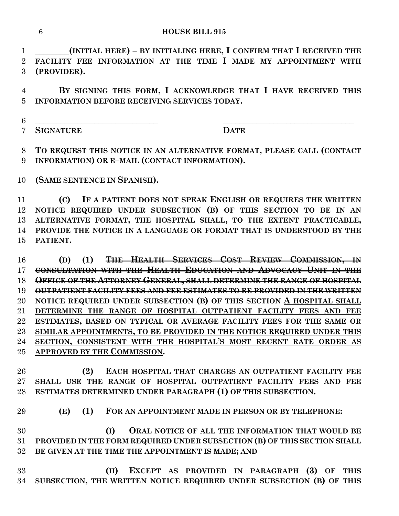**\_\_\_\_\_\_\_\_(INITIAL HERE) – BY INITIALING HERE, I CONFIRM THAT I RECEIVED THE FACILITY FEE INFORMATION AT THE TIME I MADE MY APPOINTMENT WITH (PROVIDER).**

 **BY SIGNING THIS FORM, I ACKNOWLEDGE THAT I HAVE RECEIVED THIS INFORMATION BEFORE RECEIVING SERVICES TODAY.**

**\_\_\_\_\_\_\_\_\_\_\_\_\_\_\_\_\_\_\_\_\_\_\_\_\_\_\_\_\_ \_\_\_\_\_\_\_\_\_\_\_\_\_\_\_\_\_\_\_\_\_\_\_\_\_\_\_\_\_\_\_**

**SIGNATURE DATE**

 **TO REQUEST THIS NOTICE IN AN ALTERNATIVE FORMAT, PLEASE CALL (CONTACT INFORMATION) OR E–MAIL (CONTACT INFORMATION).**

**(SAME SENTENCE IN SPANISH).**

 **(C) IF A PATIENT DOES NOT SPEAK ENGLISH OR REQUIRES THE WRITTEN NOTICE REQUIRED UNDER SUBSECTION (B) OF THIS SECTION TO BE IN AN ALTERNATIVE FORMAT, THE HOSPITAL SHALL, TO THE EXTENT PRACTICABLE, PROVIDE THE NOTICE IN A LANGUAGE OR FORMAT THAT IS UNDERSTOOD BY THE PATIENT.**

 **(D) (1) THE HEALTH SERVICES COST REVIEW COMMISSION, IN CONSULTATION WITH THE HEALTH EDUCATION AND ADVOCACY UNIT IN THE OFFICE OF THE ATTORNEY GENERAL, SHALL DETERMINE THE RANGE OF HOSPITAL OUTPATIENT FACILITY FEES AND FEE ESTIMATES TO BE PROVIDED IN THE WRITTEN NOTICE REQUIRED UNDER SUBSECTION (B) OF THIS SECTION A HOSPITAL SHALL DETERMINE THE RANGE OF HOSPITAL OUTPATIENT FACILITY FEES AND FEE ESTIMATES, BASED ON TYPICAL OR AVERAGE FACILITY FEES FOR THE SAME OR SIMILAR APPOINTMENTS, TO BE PROVIDED IN THE NOTICE REQUIRED UNDER THIS SECTION, CONSISTENT WITH THE HOSPITAL'S MOST RECENT RATE ORDER AS APPROVED BY THE COMMISSION.**

 **(2) EACH HOSPITAL THAT CHARGES AN OUTPATIENT FACILITY FEE SHALL USE THE RANGE OF HOSPITAL OUTPATIENT FACILITY FEES AND FEE ESTIMATES DETERMINED UNDER PARAGRAPH (1) OF THIS SUBSECTION.**

**(E) (1) FOR AN APPOINTMENT MADE IN PERSON OR BY TELEPHONE:**

 **(I) ORAL NOTICE OF ALL THE INFORMATION THAT WOULD BE PROVIDED IN THE FORM REQUIRED UNDER SUBSECTION (B) OF THIS SECTION SHALL BE GIVEN AT THE TIME THE APPOINTMENT IS MADE; AND**

 **(II) EXCEPT AS PROVIDED IN PARAGRAPH (3) OF THIS SUBSECTION, THE WRITTEN NOTICE REQUIRED UNDER SUBSECTION (B) OF THIS**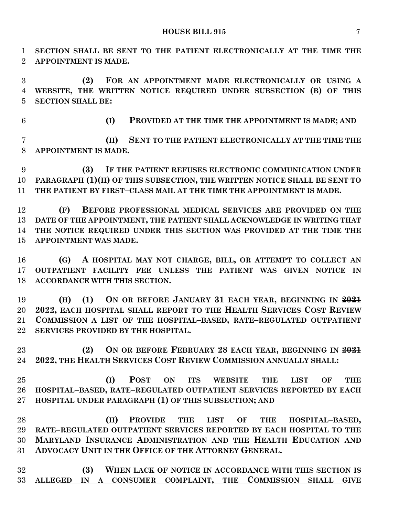**SECTION SHALL BE SENT TO THE PATIENT ELECTRONICALLY AT THE TIME THE APPOINTMENT IS MADE.**

 **(2) FOR AN APPOINTMENT MADE ELECTRONICALLY OR USING A WEBSITE, THE WRITTEN NOTICE REQUIRED UNDER SUBSECTION (B) OF THIS SECTION SHALL BE:**

**(I) PROVIDED AT THE TIME THE APPOINTMENT IS MADE; AND**

 **(II) SENT TO THE PATIENT ELECTRONICALLY AT THE TIME THE APPOINTMENT IS MADE.**

 **(3) IF THE PATIENT REFUSES ELECTRONIC COMMUNICATION UNDER PARAGRAPH (1)(II) OF THIS SUBSECTION, THE WRITTEN NOTICE SHALL BE SENT TO THE PATIENT BY FIRST–CLASS MAIL AT THE TIME THE APPOINTMENT IS MADE.**

 **(F) BEFORE PROFESSIONAL MEDICAL SERVICES ARE PROVIDED ON THE DATE OF THE APPOINTMENT, THE PATIENT SHALL ACKNOWLEDGE IN WRITING THAT THE NOTICE REQUIRED UNDER THIS SECTION WAS PROVIDED AT THE TIME THE APPOINTMENT WAS MADE.**

 **(G) A HOSPITAL MAY NOT CHARGE, BILL, OR ATTEMPT TO COLLECT AN OUTPATIENT FACILITY FEE UNLESS THE PATIENT WAS GIVEN NOTICE IN ACCORDANCE WITH THIS SECTION.**

 **(H) (1) ON OR BEFORE JANUARY 31 EACH YEAR, BEGINNING IN 2021 2022, EACH HOSPITAL SHALL REPORT TO THE HEALTH SERVICES COST REVIEW COMMISSION A LIST OF THE HOSPITAL–BASED, RATE–REGULATED OUTPATIENT SERVICES PROVIDED BY THE HOSPITAL.**

 **(2) ON OR BEFORE FEBRUARY 28 EACH YEAR, BEGINNING IN 2021 2022, THE HEALTH SERVICES COST REVIEW COMMISSION ANNUALLY SHALL:**

 **(I) POST ON ITS WEBSITE THE LIST OF THE HOSPITAL–BASED, RATE–REGULATED OUTPATIENT SERVICES REPORTED BY EACH HOSPITAL UNDER PARAGRAPH (1) OF THIS SUBSECTION; AND**

 **(II) PROVIDE THE LIST OF THE HOSPITAL–BASED, RATE–REGULATED OUTPATIENT SERVICES REPORTED BY EACH HOSPITAL TO THE MARYLAND INSURANCE ADMINISTRATION AND THE HEALTH EDUCATION AND ADVOCACY UNIT IN THE OFFICE OF THE ATTORNEY GENERAL.**

 **(3) WHEN LACK OF NOTICE IN ACCORDANCE WITH THIS SECTION IS ALLEGED IN A CONSUMER COMPLAINT, THE COMMISSION SHALL GIVE**